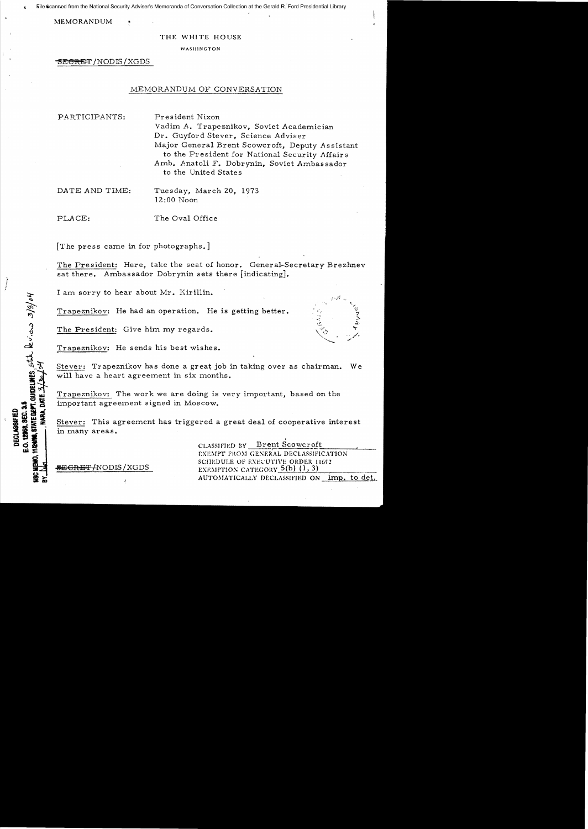File scanned from the National Security Adviser's Memoranda of Conversation Collection at the Gerald R. Ford Presidential Library

**MEMORANDUM** 

#### THE WHITE HOUSE

WASHINGTON

<del>SECRET</del> /NODIS / XGDS

## MEMORANDUM OF CONVERSATION

PARTICIPANTS: President Nixon

Vadim A. Trapeznikov, Soviet Academician Dr. Guyford Stever, Science Adviser Major General Brent Scowcroft, Deputy Assistant to the President for National Security Affairs Amb. Anatoli F. Dobrynin, Soviet Ambassador to the United States

DATE AND TIME: Tuesday, March 20, 1973 12:00 Noon

i !

**POP, SEC. 3.3**<br>STATE DEFT, GUIDELINES, 5 LJL levieux 3/3/04

12968. SEC. 3.5 **DECLASSFIED** 

**HIGHT** 

PLACE: The Oval Office

[The press came in for photographs.]

The President: Here, take the seat of honor. General-Secretary Brezhnev sat there. Ambassador Dobrynin sets there [indicating].

I am sorry to hear about Mr. Kirillin.

Trapeznikov: He had an operation. He is getting better.

The President: Give him my regards.

Trapeznikov: He sends his best wishes.

Stever: Trapeznikov has done a great job in taking over as chairman. We will have a heart agreement in six months.

Trapeznikov: The work we are doing is very important, based on the important agreement signed in Moscow.

Stever: This agreement has triggered a great deal of cooperative interest in many areas.

CLASSIFJED BY Brent Scowcroft EXEMPT FROM GENERAL DECLASSIFICATION SCHEDULE OF EXECUTIVE ORDER 11652<br>EXEMPTION CATEGORY  $5(b)$   $(1, 3)$ **3EGRBT** /NODIS /XGDS EXE!\IPTION CATEGORY S(b) (1,3) --~~~~----------- AUTOMATICALLY DECLASSIFIED ON Imp. to det.\_

~)  $\mathbb{R}^{\mathcal{M}_{\mathrm{c}}}_{\mathbb{R}^{\mathcal{M}_{\mathrm{c}}}}$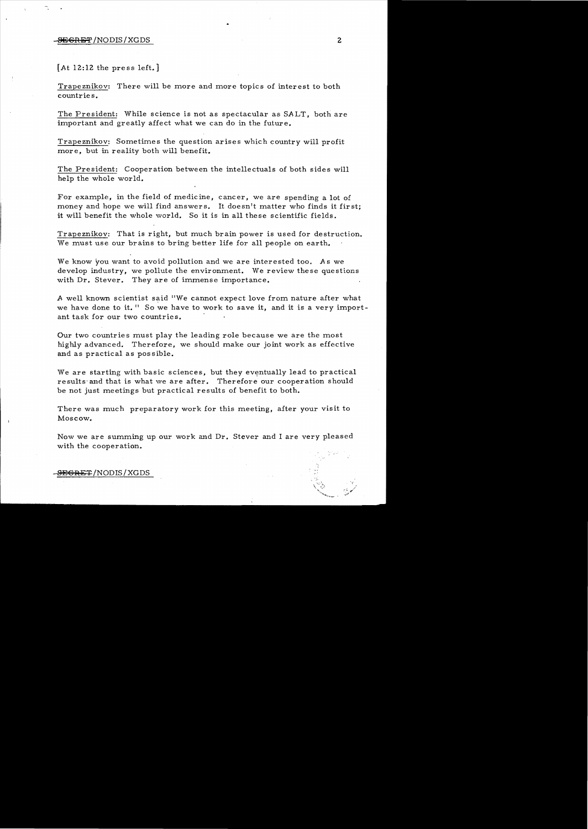### -SEGRET /NODIS / XGDS 2

## [At 12:12 the press left.]

Trapeznikov: There will be more and more topics of interest to both countries.

The President: While science is not as spectacular as SALT, both are important and greatly affect what we can do in the future.

Trapeznikov: Sometimes the question arises which country will profit more, but in reality both will benefit.

The President: Cooperation between the intellectuals of both sides will help the whole world.

For example, in the field of medicine, cancer, we are spending a lot of money and hope we will find answers. It doesn't matter who finds it first; it will benefit the whole world. So it is in all these scientific fields.

Trapeznikov: That is right, but much brain power is used for destruction. We must use our brains to bring better life for all people on earth.

We know you want to avoid pollution and we are interested too. *As* we develop industry, we pollute the environment. We review these questions with Dr. Stever. They are of immense importance.

A well known scientist said "We cannot expect love from nature after what we have done to it." So we have to work to save it, and it is a very important task for our two countries.

Our two countries must play the leading role because we are the most highly advanced. Therefore, we should make our joint work as effective and as practical as pos sible.

We are starting with basic sciences, but they eventually lead to practical results' and that is what we are after. Therefore our cooperation should be not just meetings but practical results of benefit to both.

There was much preparatory work for this meeting, after your visit to Moscow.

Now we are summing up our work and Dr. Stever and I are very pleased with the cooperation.

### • SEGRET/NODIS/XGDS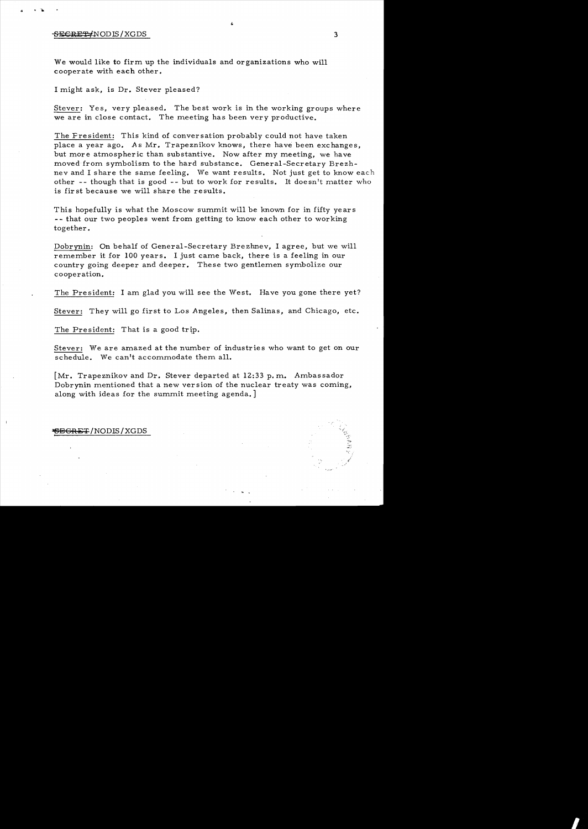#### $S$ ECRET-INODIS/XGDS 3

• k

We would like to firm up the individuals and organizations who will cooperate with each other.

I might ask, is Dr. Stever pleased?

Stever: Yes, very pleased. The best work is in the working groups where we are in close contact. The meeting has been very productive.

The Fresident: This kind of conversation probably could not have taken place a year ago. As Mr. Trapeznikov knows, there have been exchanges, but more atmospheric than substantive. Now after my meeting, we have moved from symbolism to the hard substance. General-Secretary Brezhnev and I share the same feeling. We want results. Not just get to know each other  $-$ - though that is good  $-$ - but to work for results. It doesn't matter who is fir st because we will share the results.

This hopefully is what the Moscow summit will be known for in fifty years -- that our two peoples went from getting to know each other to working together.

Dobrynin: On behalf of General-Secretary Brezhnev, I agree, but we will remember it for 100 years. I just came back, there is a feeling in our country going deeper and deeper. These two gentlemen symbolize our cooperation.

The President: I am glad you will see the West. Have you gone there yet?

Stever: They will go first to Los Angeles, then Salinas, and Chicago, etc.

The President: That is a good trip.

Stever: We are amazed at the number of industries who want to get on our schedule. We can't accommodate them all.

 $\lceil Mr. Trapeznikov and Dr. Steven departed at 12:33 p.m. Ambassador$ Dobrynin mentioned that a new version of the nuclear treaty was coming, along with ideas for the summit meeting agenda.

# **BGRET/NODIS/XGDS**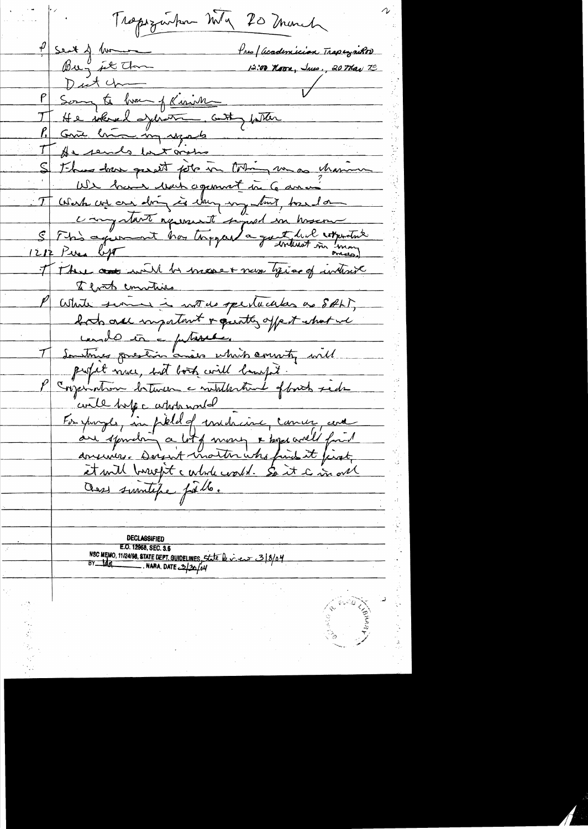Trapszwhen Mg 20 minute  $\frac{p}{2}$  sent  $\Delta$  lum Pres / academician Trapeyrikor Bug it the 12:00 Noor, June, 20 May 79 Dutch Song to have of Kinish He solered exercise cutty father  ${\mathcal T}$ Come lui un reports As sends last oritic Thus have gaset for in toting we as thaning We have we're agement in 6 amon Work we are dring is dany my trut, tound on Carystant represent depot in hoser I There are will be made + never toging of interest That commitive White serve is with opertuates as SALT, both all impatant & quate offert what we condo in a putiesse. Soustines goulerin avis which county will profit muce, but book will bampt. Conjemation between a middlestine of back side evite tope atopande are spondrin a lot of money & by avel fait et will breefit c whole coold. So it a in one Ours similifie fille. **DECLASSIFIED** E.O. 12958, SEC. 3.5 NSC MEMO, 11/24/98, STATE DEPT. GUIDELINES, State being er 3/8/04  $BY$   $tddq$  NARA, DATE  $2/30/64$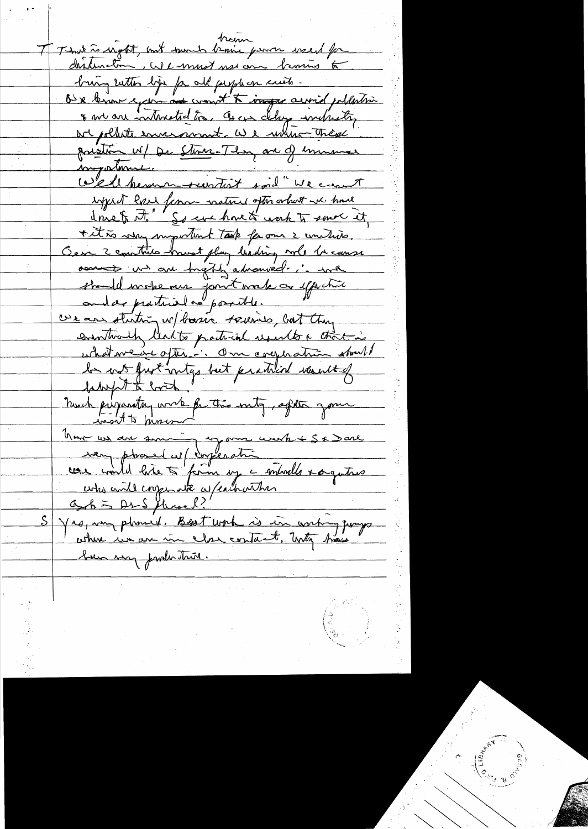train them west to the tour of the time of the west for distincton, We must use one browns to bring with life for all people on crists. Our brown excern at word to improvement publishing \* we are interested too. Is can client including poistin W/ De Store-They are of mumer mogortune. Wed hemme suntist soil "We cannot ingered have femou matured often what we have done for it. So eve have to work to some it titte my important task for our 2 unitario Oer 2 contrats houst plus leading will be cause <del>assiste un au Ingthe advanced... ina</del> standel mobemer jourt vorte co effectuer we are stuting w/ basic squires, but they eventwalk lead to particul usualto a that is uhdne de optime du compration strat la not furt integrated practical would brought to look huch prijocating work for this inty, after your wasn't know Komme un au survive en mons une le Sa Dare men phared w/ corperation and de sance S Yrs, un plumed. Best work is in conting proposed bien way production.